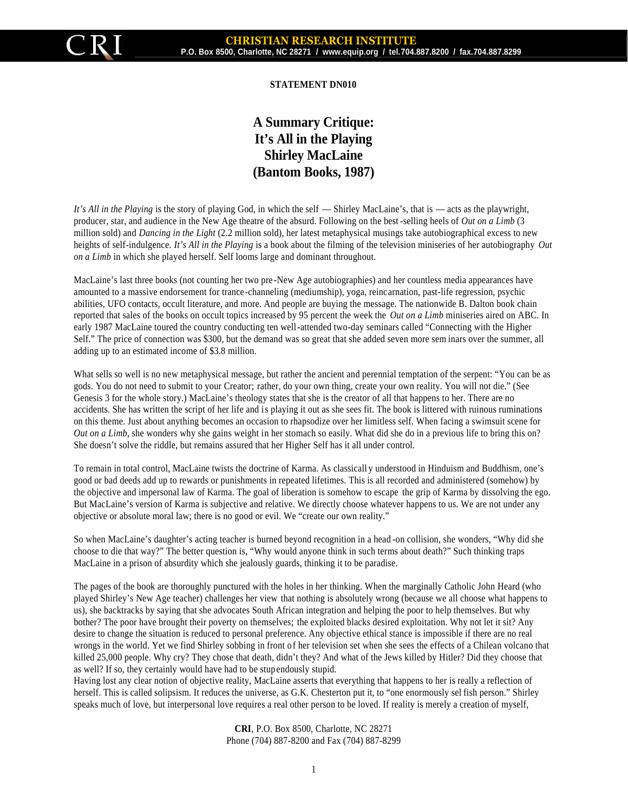

## **STATEMENT DN010**

## **A Summary Critique: It's All in the Playing Shirley MacLaine (Bantom Books, 1987)**

*It's All in the Playing* is the story of playing God, in which the self — Shirley MacLaine's, that is — acts as the playwright, producer, star, and audience in the New Age theatre of the absurd. Following on the best -selling heels of *Out on a Limb* (3 million sold) and *Dancing in the Light* (2.2 million sold), her latest metaphysical musings take autobiographical excess to new heights of self-indulgence. *It's All in the Playing* is a book about the filming of the television miniseries of her autobiography *Out on a Limb* in which she played herself. Self looms large and dominant throughout.

MacLaine's last three books (not counting her two pre -New Age autobiographies) and her countless media appearances have amounted to a massive endorsement for trance-channeling (mediumship), yoga, reincarnation, past-life regression, psychic abilities, UFO contacts, occult literature, and more. And people are buying the message. The nationwide B. Dalton book chain reported that sales of the books on occult topics increased by 95 percent the week the *Out on a Limb* miniseries aired on ABC. In early 1987 MacLaine toured the country conducting ten well-attended two-day seminars called "Connecting with the Higher Self." The price of connection was \$300, but the demand was so great that she added seven more sem inars over the summer, all adding up to an estimated income of \$3.8 million.

What sells so well is no new metaphysical message, but rather the ancient and perennial temptation of the serpent: "You can be as gods. You do not need to submit to your Creator; rather, do your own thing, create your own reality. You will not die." (See Genesis 3 for the whole story.) MacLaine's theology states that she is the creator of all that happens to her. There are no accidents. She has written the script of her life and is playing it out as she sees fit. The book is littered with ruinous ruminations on this theme. Just about anything becomes an occasion to rhapsodize over her limitless self. When facing a swimsuit scene for *Out on a Limb*, she wonders why she gains weight in her stomach so easily. What did she do in a previous life to bring this on? She doesn't solve the riddle, but remains assured that her Higher Self has it all under control.

To remain in total control, MacLaine twists the doctrine of Karma. As classicall y understood in Hinduism and Buddhism, one's good or bad deeds add up to rewards or punishments in repeated lifetimes. This is all recorded and administered (somehow) by the objective and impersonal law of Karma. The goal of liberation is somehow to escape the grip of Karma by dissolving the ego. But MacLaine's version of Karma is subjective and relative. We directly choose whatever happens to us. We are not under any objective or absolute moral law; there is no good or evil. We "create our own reality."

So when MacLaine's daughter's acting teacher is burned beyond recognition in a head -on collision, she wonders, "Why did she choose to die that way?" The better question is, "Why would anyone think in such terms about death?" Such thinking traps MacLaine in a prison of absurdity which she jealously guards, thinking it to be paradise.

The pages of the book are thoroughly punctured with the holes in her thinking. When the marginally Catholic John Heard (who played Shirley's New Age teacher) challenges her view that nothing is absolutely wrong (because we all choose what happens to us), she backtracks by saying that she advocates South African integration and helping the poor to help themselves. But why bother? The poor have brought their poverty on themselves; the exploited blacks desired exploitation. Why not let it sit? Any desire to change the situation is reduced to personal preference. Any objective ethical stance is impossible if there are no real wrongs in the world. Yet we find Shirley sobbing in front of her television set when she sees the effects of a Chilean volcano that killed 25,000 people. Why cry? They chose that death, didn't they? And what of the Jews killed by Hitler? Did they choose that as well? If so, they certainly would have had to be stupendously stupid.

Having lost any clear notion of objective reality, MacLaine asserts that everything that happens to her is really a reflection of herself. This is called solipsism. It reduces the universe, as G.K. Chesterton put it, to "one enormously sel fish person." Shirley speaks much of love, but interpersonal love requires a real other person to be loved. If reality is merely a creation of myself,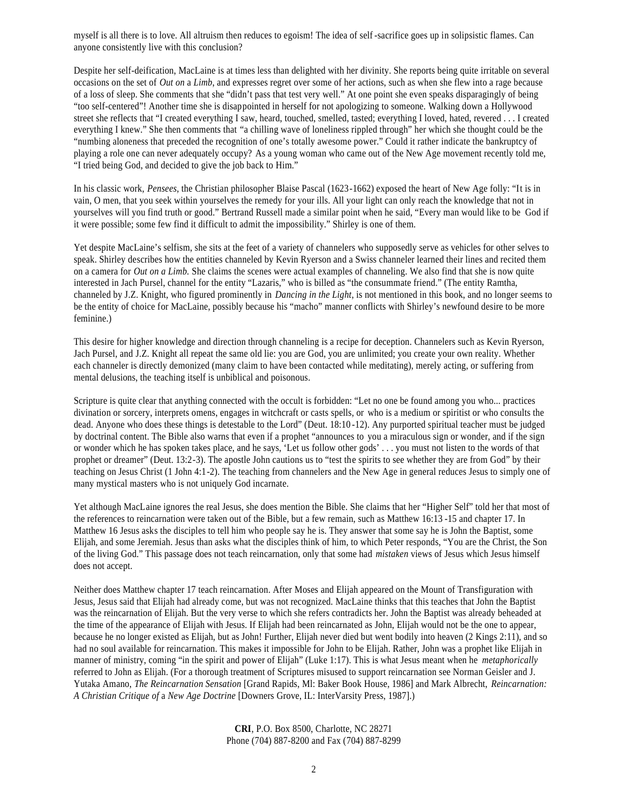myself is all there is to love. All altruism then reduces to egoism! The idea of self -sacrifice goes up in solipsistic flames. Can anyone consistently live with this conclusion?

Despite her self-deification, MacLaine is at times less than delighted with her divinity. She reports being quite irritable on several occasions on the set of *Out on* a *Limb*, and expresses regret over some of her actions, such as when she flew into a rage because of a loss of sleep. She comments that she "didn't pass that test very well." At one point she even speaks disparagingly of being "too self-centered"! Another time she is disappointed in herself for not apologizing to someone. Walking down a Hollywood street she reflects that "I created everything I saw, heard, touched, smelled, tasted; everything I loved, hated, revered . . . I created everything I knew." She then comments that "a chilling wave of loneliness rippled through" her which she thought could be the "numbing aloneness that preceded the recognition of one's totally awesome power." Could it rather indicate the bankruptcy of playing a role one can never adequately occupy? As a young woman who came out of the New Age movement recently told me, "I tried being God, and decided to give the job back to Him."

In his classic work, *Pensees*, the Christian philosopher Blaise Pascal (1623-1662) exposed the heart of New Age folly: "It is in vain, O men, that you seek within yourselves the remedy for your ills. All your light can only reach the knowledge that not in yourselves will you find truth or good." Bertrand Russell made a similar point when he said, "Every man would like to be God if it were possible; some few find it difficult to admit the impossibility." Shirley is one of them.

Yet despite MacLaine's selfism, she sits at the feet of a variety of channelers who supposedly serve as vehicles for other selves to speak. Shirley describes how the entities channeled by Kevin Ryerson and a Swiss channeler learned their lines and recited them on a camera for *Out on a Limb.* She claims the scenes were actual examples of channeling. We also find that she is now quite interested in Jach Pursel, channel for the entity "Lazaris," who is billed as "the consummate friend." (The entity Ramtha, channeled by J.Z. Knight, who figured prominently in *Dancing in the Light*, is not mentioned in this book, and no longer seems to be the entity of choice for MacLaine, possibly because his "macho" manner conflicts with Shirley's newfound desire to be more feminine.)

This desire for higher knowledge and direction through channeling is a recipe for deception. Channelers such as Kevin Ryerson, Jach Pursel, and J.Z. Knight all repeat the same old lie: you are God, you are unlimited; you create your own reality. Whether each channeler is directly demonized (many claim to have been contacted while meditating), merely acting, or suffering from mental delusions, the teaching itself is unbiblical and poisonous.

Scripture is quite clear that anything connected with the occult is forbidden: "Let no one be found among you who... practices divination or sorcery, interprets omens, engages in witchcraft or casts spells, or who is a medium or spiritist or who consults the dead. Anyone who does these things is detestable to the Lord" (Deut. 18:10 -12). Any purported spiritual teacher must be judged by doctrinal content. The Bible also warns that even if a prophet "announces to you a miraculous sign or wonder, and if the sign or wonder which he has spoken takes place, and he says, 'Let us follow other gods' . . . you must not listen to the words of that prophet or dreamer" (Deut. 13:2-3). The apostle John cautions us to "test the spirits to see whether they are from God" by their teaching on Jesus Christ (1 John 4:1-2). The teaching from channelers and the New Age in general reduces Jesus to simply one of many mystical masters who is not uniquely God incarnate.

Yet although MacLaine ignores the real Jesus, she does mention the Bible. She claims that her "Higher Self" told her that most of the references to reincarnation were taken out of the Bible, but a few remain, such as Matthew 16:13 -15 and chapter 17. In Matthew 16 Jesus asks the disciples to tell him who people say he is. They answer that some say he is John the Baptist, some Elijah, and some Jeremiah. Jesus than asks what the disciples think of him, to which Peter responds, "You are the Christ, the Son of the living God." This passage does not teach reincarnation, only that some had *mistaken* views of Jesus which Jesus himself does not accept.

Neither does Matthew chapter 17 teach reincarnation. After Moses and Elijah appeared on the Mount of Transfiguration with Jesus, Jesus said that Elijah had already come, but was not recognized. MacLaine thinks that this teaches that John the Baptist was the reincarnation of Elijah. But the very verse to which she refers contradicts her. John the Baptist was already beheaded at the time of the appearance of Elijah with Jesus. If Elijah had been reincarnated as John, Elijah would not be the one to appear, because he no longer existed as Elijah, but as John! Further, Elijah never died but went bodily into heaven (2 Kings 2:11), and so had no soul available for reincarnation. This makes it impossible for John to be Elijah. Rather, John was a prophet like Elijah in manner of ministry, coming "in the spirit and power of Elijah" (Luke 1:17). This is what Jesus meant when he *metaphorically* referred to John as Elijah. (For a thorough treatment of Scriptures misused to support reincarnation see Norman Geisler and J. Yutaka Amano, *The Reincarnation Sensation* [Grand Rapids, Ml: Baker Book House, 1986] and Mark Albrecht, *Reincarnation: A Christian Critique of* a *New Age Doctrine* [Downers Grove, IL: InterVarsity Press, 1987].)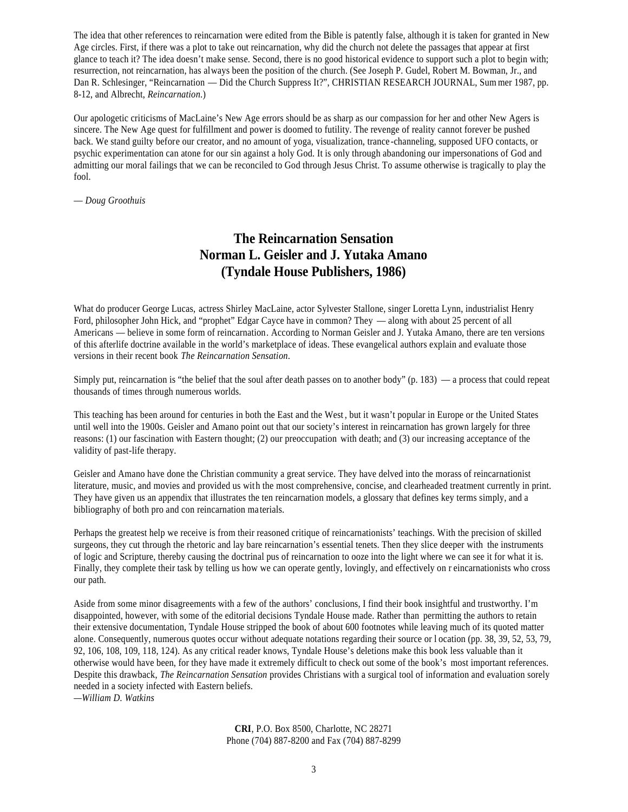The idea that other references to reincarnation were edited from the Bible is patently false, although it is taken for granted in New Age circles. First, if there was a plot to take out reincarnation, why did the church not delete the passages that appear at first glance to teach it? The idea doesn't make sense. Second, there is no good historical evidence to support such a plot to begin with; resurrection, not reincarnation, has always been the position of the church. (See Joseph P. Gudel, Robert M. Bowman, Jr., and Dan R. Schlesinger, "Reincarnation — Did the Church Suppress It?", CHRISTIAN RESEARCH JOURNAL, Sum mer 1987, pp. 8-12, and Albrecht, *Reincarnation*.)

Our apologetic criticisms of MacLaine's New Age errors should be as sharp as our compassion for her and other New Agers is sincere. The New Age quest for fulfillment and power is doomed to futility. The revenge of reality cannot forever be pushed back. We stand guilty before our creator, and no amount of yoga, visualization, trance -channeling, supposed UFO contacts, or psychic experimentation can atone for our sin against a holy God. It is only through abandoning our impersonations of God and admitting our moral failings that we can be reconciled to God through Jesus Christ. To assume otherwise is tragically to play the fool.

— *Doug Groothuis*

## **The Reincarnation Sensation Norman L. Geisler and J. Yutaka Amano (Tyndale House Publishers, 1986)**

What do producer George Lucas, actress Shirley MacLaine, actor Sylvester Stallone, singer Loretta Lynn, industrialist Henry Ford, philosopher John Hick, and "prophet" Edgar Cayce have in common? They — along with about 25 percent of all Americans — believe in some form of reincarnation. According to Norman Geisler and J. Yutaka Amano, there are ten versions of this afterlife doctrine available in the world's marketplace of ideas. These evangelical authors explain and evaluate those versions in their recent book *The Reincarnation Sensation*.

Simply put, reincarnation is "the belief that the soul after death passes on to another body" (p. 183) — a process that could repeat thousands of times through numerous worlds.

This teaching has been around for centuries in both the East and the West , but it wasn't popular in Europe or the United States until well into the 1900s. Geisler and Amano point out that our society's interest in reincarnation has grown largely for three reasons: (1) our fascination with Eastern thought; (2) our preoccupation with death; and (3) our increasing acceptance of the validity of past-life therapy.

Geisler and Amano have done the Christian community a great service. They have delved into the morass of reincarnationist literature, music, and movies and provided us with the most comprehensive, concise, and clearheaded treatment currently in print. They have given us an appendix that illustrates the ten reincarnation models, a glossary that defines key terms simply, and a bibliography of both pro and con reincarnation ma terials.

Perhaps the greatest help we receive is from their reasoned critique of reincarnationists' teachings. With the precision of skilled surgeons, they cut through the rhetoric and lay bare reincarnation's essential tenets. Then they slice deeper with the instruments of logic and Scripture, thereby causing the doctrinal pus of reincarnation to ooze into the light where we can see it for what it is. Finally, they complete their task by telling us how we can operate gently, lovingly, and effectively on r eincarnationists who cross our path.

Aside from some minor disagreements with a few of the authors' conclusions, I find their book insightful and trustworthy. I'm disappointed, however, with some of the editorial decisions Tyndale House made. Rather than permitting the authors to retain their extensive documentation, Tyndale House stripped the book of about 600 footnotes while leaving much of its quoted matter alone. Consequently, numerous quotes occur without adequate notations regarding their source or l ocation (pp. 38, 39, 52, 53, 79, 92, 106, 108, 109, 118, 124). As any critical reader knows, Tyndale House's deletions make this book less valuable than it otherwise would have been, for they have made it extremely difficult to check out some of the book's most important references. Despite this drawback, *The Reincarnation Sensation* provides Christians with a surgical tool of information and evaluation sorely needed in a society infected with Eastern beliefs.

*—William D. Watkins*